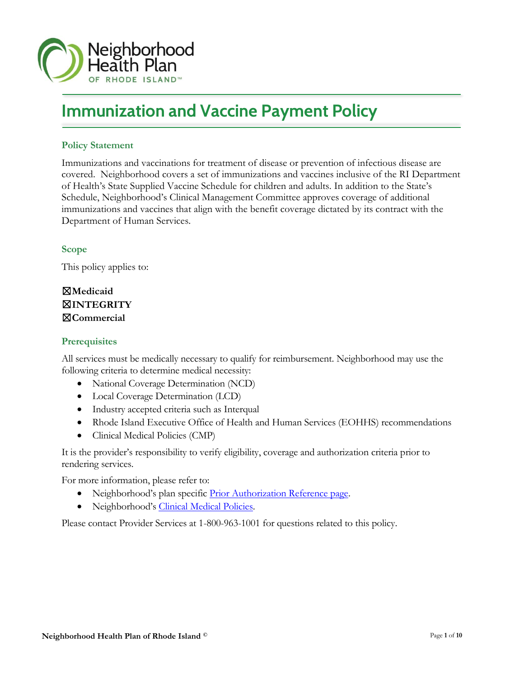

# **Immunization and Vaccine Payment Policy**

#### **Policy Statement**

Immunizations and vaccinations for treatment of disease or prevention of infectious disease are covered. Neighborhood covers a set of immunizations and vaccines inclusive of the RI Department of Health's State Supplied Vaccine Schedule for children and adults. In addition to the State's Schedule, Neighborhood's Clinical Management Committee approves coverage of additional immunizations and vaccines that align with the benefit coverage dictated by its contract with the Department of Human Services.

# **Scope**

This policy applies to:

# ☒**Medicaid**  ☒**INTEGRITY** ☒**Commercial**

### **Prerequisites**

All services must be medically necessary to qualify for reimbursement. Neighborhood may use the following criteria to determine medical necessity:

- National Coverage Determination (NCD)
- Local Coverage Determination (LCD)
- Industry accepted criteria such as Interqual
- Rhode Island Executive Office of Health and Human Services (EOHHS) recommendations
- Clinical Medical Policies (CMP)

It is the provider's responsibility to verify eligibility, coverage and authorization criteria prior to rendering services.

For more information, please refer to:

- Neighborhood's plan specific [Prior Authorization Reference page.](https://www.nhpri.org/providers/policies-and-guidelines/prior-authorization-reference-guide/)
- Neighborhood's [Clinical Medical Policies.](https://www.nhpri.org/providers/policies-and-guidelines/clinical-medical-policies/)

Please contact Provider Services at 1-800-963-1001 for questions related to this policy.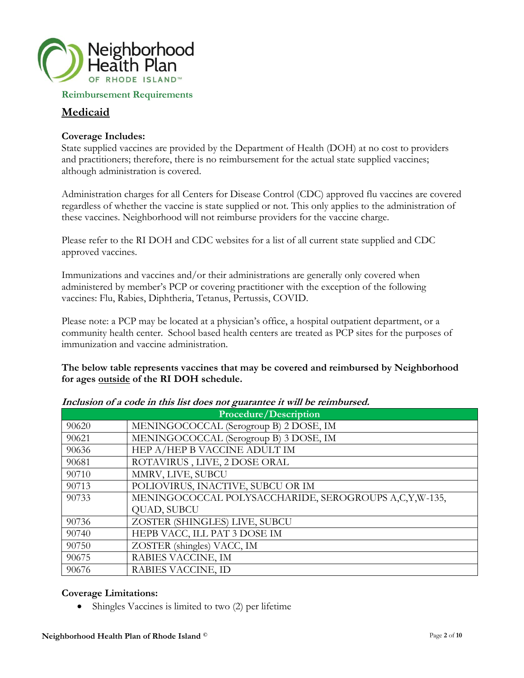

#### **Reimbursement Requirements**

# **Medicaid**

# **Coverage Includes:**

State supplied vaccines are provided by the Department of Health (DOH) at no cost to providers and practitioners; therefore, there is no reimbursement for the actual state supplied vaccines; although administration is covered.

Administration charges for all Centers for Disease Control (CDC) approved flu vaccines are covered regardless of whether the vaccine is state supplied or not. This only applies to the administration of these vaccines. Neighborhood will not reimburse providers for the vaccine charge.

Please refer to the RI DOH and CDC websites for a list of all current state supplied and CDC approved vaccines.

Immunizations and vaccines and/or their administrations are generally only covered when administered by member's PCP or covering practitioner with the exception of the following vaccines: Flu, Rabies, Diphtheria, Tetanus, Pertussis, COVID.

Please note: a PCP may be located at a physician's office, a hospital outpatient department, or a community health center. School based health centers are treated as PCP sites for the purposes of immunization and vaccine administration.

**The below table represents vaccines that may be covered and reimbursed by Neighborhood for ages outside of the RI DOH schedule.**

| Procedure/Description |                                                       |
|-----------------------|-------------------------------------------------------|
| 90620                 | MENINGOCOCCAL (Serogroup B) 2 DOSE, IM                |
| 90621                 | MENINGOCOCCAL (Serogroup B) 3 DOSE, IM                |
| 90636                 | HEP A/HEP B VACCINE ADULT IM                          |
| 90681                 | ROTAVIRUS, LIVE, 2 DOSE ORAL                          |
| 90710                 | MMRV, LIVE, SUBCU                                     |
| 90713                 | POLIOVIRUS, INACTIVE, SUBCU OR IM                     |
| 90733                 | MENINGOCOCCAL POLYSACCHARIDE, SEROGROUPS A,C,Y,W-135, |
|                       | QUAD, SUBCU                                           |
| 90736                 | ZOSTER (SHINGLES) LIVE, SUBCU                         |
| 90740                 | HEPB VACC, ILL PAT 3 DOSE IM                          |
| 90750                 | ZOSTER (shingles) VACC, IM                            |
| 90675                 | RABIES VACCINE, IM                                    |
| 90676                 | RABIES VACCINE, ID                                    |

#### **Inclusion of a code in this list does not guarantee it will be reimbursed.**

#### **Coverage Limitations:**

• Shingles Vaccines is limited to two (2) per lifetime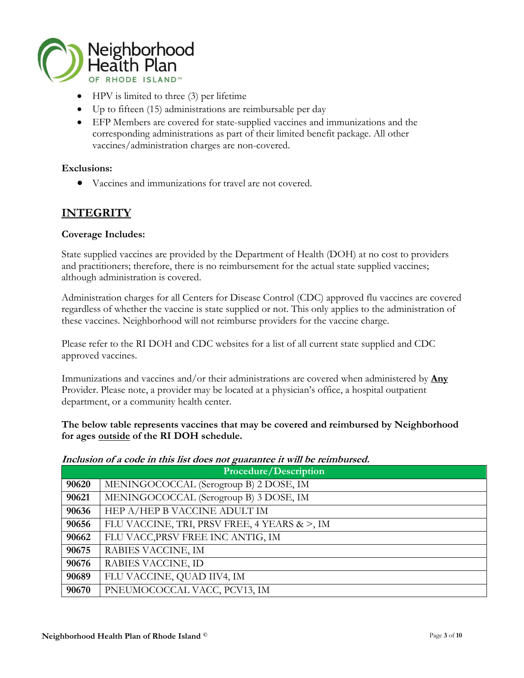

- HPV is limited to three (3) per lifetime
- Up to fifteen (15) administrations are reimbursable per day
- EFP Members are covered for state-supplied vaccines and immunizations and the corresponding administrations as part of their limited benefit package. All other vaccines/administration charges are non-covered.

#### **Exclusions:**

Vaccines and immunizations for travel are not covered.

# **INTEGRITY**

#### **Coverage Includes:**

State supplied vaccines are provided by the Department of Health (DOH) at no cost to providers and practitioners; therefore, there is no reimbursement for the actual state supplied vaccines; although administration is covered.

Administration charges for all Centers for Disease Control (CDC) approved flu vaccines are covered regardless of whether the vaccine is state supplied or not. This only applies to the administration of these vaccines. Neighborhood will not reimburse providers for the vaccine charge.

Please refer to the RI DOH and CDC websites for a list of all current state supplied and CDC approved vaccines.

Immunizations and vaccines and/or their administrations are covered when administered by **Any** Provider. Please note, a provider may be located at a physician's office, a hospital outpatient department, or a community health center.

**The below table represents vaccines that may be covered and reimbursed by Neighborhood for ages outside of the RI DOH schedule.** 

#### **Inclusion of a code in this list does not guarantee it will be reimbursed.**

| <b>Procedure/Description</b> |                                              |
|------------------------------|----------------------------------------------|
| 90620                        | MENINGOCOCCAL (Serogroup B) 2 DOSE, IM       |
| 90621                        | MENINGOCOCCAL (Serogroup B) 3 DOSE, IM       |
| 90636                        | HEP A/HEP B VACCINE ADULT IM                 |
| 90656                        | FLU VACCINE, TRI, PRSV FREE, 4 YEARS & >, IM |
| 90662                        | FLU VACC, PRSV FREE INC ANTIG, IM            |
| 90675                        | RABIES VACCINE, IM                           |
| 90676                        | RABIES VACCINE, ID                           |
| 90689                        | FLU VACCINE, QUAD IIV4, IM                   |
| 90670                        | PNEUMOCOCCAL VACC, PCV13, IM                 |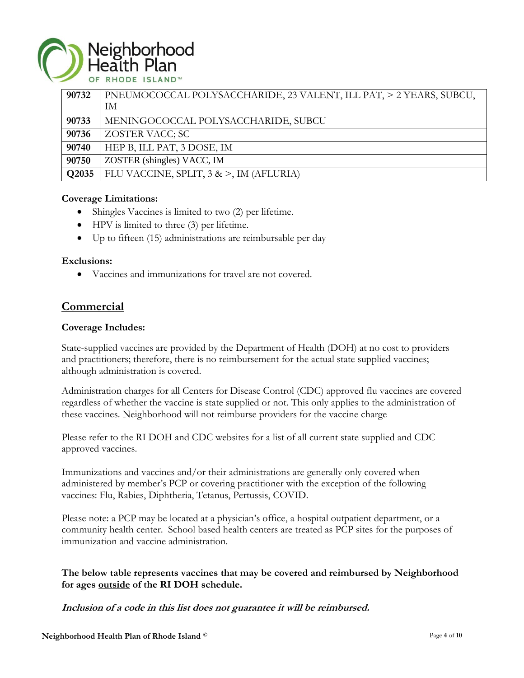

| 90732 | PNEUMOCOCCAL POLYSACCHARIDE, 23 VALENT, ILL PAT, > 2 YEARS, SUBCU, |
|-------|--------------------------------------------------------------------|
|       | ΙM                                                                 |
| 90733 | MENINGOCOCCAL POLYSACCHARIDE, SUBCU                                |
| 90736 | ZOSTER VACC; SC                                                    |
| 90740 | HEP B, ILL PAT, 3 DOSE, IM                                         |
| 90750 | ZOSTER (shingles) VACC, IM                                         |
| Q2035 | FLU VACCINE, SPLIT, 3 & >, IM (AFLURIA)                            |

#### **Coverage Limitations:**

- Shingles Vaccines is limited to two (2) per lifetime.
- HPV is limited to three (3) per lifetime.
- Up to fifteen (15) administrations are reimbursable per day

#### **Exclusions:**

Vaccines and immunizations for travel are not covered.

# **Commercial**

#### **Coverage Includes:**

State-supplied vaccines are provided by the Department of Health (DOH) at no cost to providers and practitioners; therefore, there is no reimbursement for the actual state supplied vaccines; although administration is covered.

Administration charges for all Centers for Disease Control (CDC) approved flu vaccines are covered regardless of whether the vaccine is state supplied or not. This only applies to the administration of these vaccines. Neighborhood will not reimburse providers for the vaccine charge

Please refer to the RI DOH and CDC websites for a list of all current state supplied and CDC approved vaccines.

Immunizations and vaccines and/or their administrations are generally only covered when administered by member's PCP or covering practitioner with the exception of the following vaccines: Flu, Rabies, Diphtheria, Tetanus, Pertussis, COVID.

Please note: a PCP may be located at a physician's office, a hospital outpatient department, or a community health center. School based health centers are treated as PCP sites for the purposes of immunization and vaccine administration.

# **The below table represents vaccines that may be covered and reimbursed by Neighborhood for ages outside of the RI DOH schedule.**

**Inclusion of a code in this list does not guarantee it will be reimbursed.**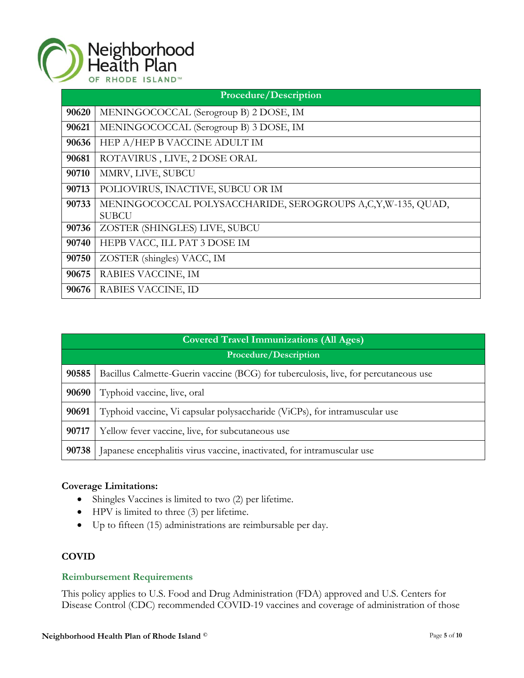

|       | Procedure/Description                                                       |
|-------|-----------------------------------------------------------------------------|
| 90620 | MENINGOCOCCAL (Serogroup B) 2 DOSE, IM                                      |
| 90621 | MENINGOCOCCAL (Serogroup B) 3 DOSE, IM                                      |
| 90636 | HEP A/HEP B VACCINE ADULT IM                                                |
| 90681 | ROTAVIRUS, LIVE, 2 DOSE ORAL                                                |
| 90710 | MMRV, LIVE, SUBCU                                                           |
| 90713 | POLIOVIRUS, INACTIVE, SUBCU OR IM                                           |
| 90733 | MENINGOCOCCAL POLYSACCHARIDE, SEROGROUPS A,C,Y,W-135, QUAD,<br><b>SUBCU</b> |
| 90736 | ZOSTER (SHINGLES) LIVE, SUBCU                                               |
| 90740 | HEPB VACC, ILL PAT 3 DOSE IM                                                |
| 90750 | ZOSTER (shingles) VACC, IM                                                  |
| 90675 | RABIES VACCINE, IM                                                          |
| 90676 | RABIES VACCINE, ID                                                          |

| <b>Covered Travel Immunizations (All Ages)</b> |                                                                                     |
|------------------------------------------------|-------------------------------------------------------------------------------------|
| Procedure/Description                          |                                                                                     |
| 90585                                          | Bacillus Calmette-Guerin vaccine (BCG) for tuberculosis, live, for percutaneous use |
| 90690                                          | Typhoid vaccine, live, oral                                                         |
| 90691                                          | Typhoid vaccine, Vi capsular polysaccharide (ViCPs), for intramuscular use          |
| 90717                                          | Yellow fever vaccine, live, for subcutaneous use                                    |
| 90738                                          | Japanese encephalitis virus vaccine, inactivated, for intramuscular use             |

# **Coverage Limitations:**

- Shingles Vaccines is limited to two (2) per lifetime.
- HPV is limited to three (3) per lifetime.
- Up to fifteen (15) administrations are reimbursable per day.

# **COVID**

# **Reimbursement Requirements**

This policy applies to U.S. Food and Drug Administration (FDA) approved and U.S. Centers for Disease Control (CDC) recommended COVID-19 vaccines and coverage of administration of those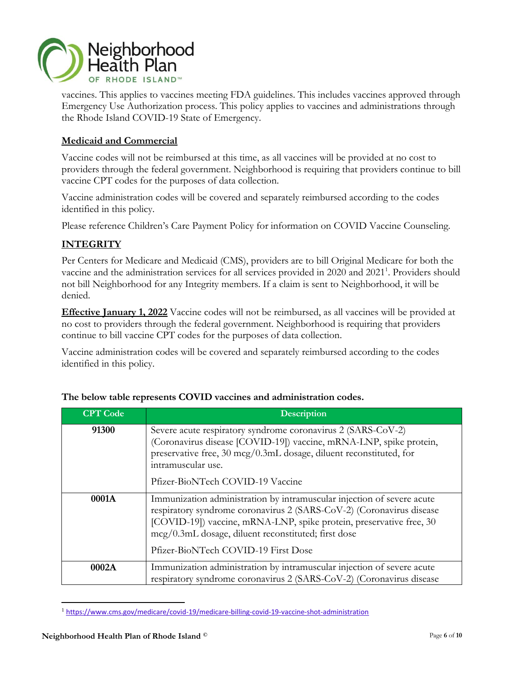

vaccines. This applies to vaccines meeting FDA guidelines. This includes vaccines approved through Emergency Use Authorization process. This policy applies to vaccines and administrations through the Rhode Island COVID-19 State of Emergency.

# **Medicaid and Commercial**

Vaccine codes will not be reimbursed at this time, as all vaccines will be provided at no cost to providers through the federal government. Neighborhood is requiring that providers continue to bill vaccine CPT codes for the purposes of data collection.

Vaccine administration codes will be covered and separately reimbursed according to the codes identified in this policy.

Please reference Children's Care Payment Policy for information on COVID Vaccine Counseling.

# **INTEGRITY**

Per Centers for Medicare and Medicaid (CMS), providers are to bill Original Medicare for both the vaccine and the administration services for all services provided in 2020 and 2021<sup>1</sup>. Providers should not bill Neighborhood for any Integrity members. If a claim is sent to Neighborhood, it will be denied.

**Effective January 1, 2022** Vaccine codes will not be reimbursed, as all vaccines will be provided at no cost to providers through the federal government. Neighborhood is requiring that providers continue to bill vaccine CPT codes for the purposes of data collection.

Vaccine administration codes will be covered and separately reimbursed according to the codes identified in this policy.

| <b>CPT</b> Code | <b>Description</b>                                                                                                                                                                                                                                                                                                  |
|-----------------|---------------------------------------------------------------------------------------------------------------------------------------------------------------------------------------------------------------------------------------------------------------------------------------------------------------------|
| 91300           | Severe acute respiratory syndrome coronavirus 2 (SARS-CoV-2)<br>(Coronavirus disease [COVID-19]) vaccine, mRNA-LNP, spike protein,<br>preservative free, 30 mcg/0.3mL dosage, diluent reconstituted, for<br>intramuscular use.<br>Pfizer-BioNTech COVID-19 Vaccine                                                  |
| 0001A           | Immunization administration by intramuscular injection of severe acute<br>respiratory syndrome coronavirus 2 (SARS-CoV-2) (Coronavirus disease<br>[COVID-19]) vaccine, mRNA-LNP, spike protein, preservative free, 30<br>mcg/0.3mL dosage, diluent reconstituted; first dose<br>Pfizer-BioNTech COVID-19 First Dose |
| 0002A           | Immunization administration by intramuscular injection of severe acute<br>respiratory syndrome coronavirus 2 (SARS-CoV-2) (Coronavirus disease                                                                                                                                                                      |

# **The below table represents COVID vaccines and administration codes.**

l

<sup>1</sup> <https://www.cms.gov/medicare/covid-19/medicare-billing-covid-19-vaccine-shot-administration>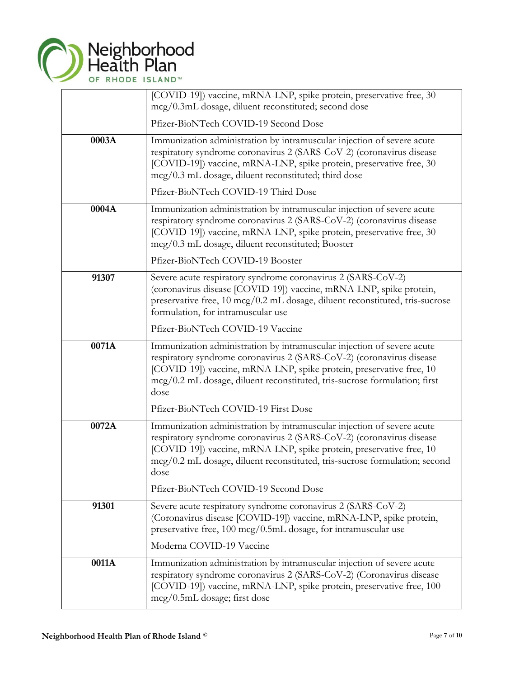

|       | [COVID-19]) vaccine, mRNA-LNP, spike protein, preservative free, 30<br>mcg/0.3mL dosage, diluent reconstituted; second dose                                                                                                                                                                                 |
|-------|-------------------------------------------------------------------------------------------------------------------------------------------------------------------------------------------------------------------------------------------------------------------------------------------------------------|
|       | Pfizer-BioNTech COVID-19 Second Dose                                                                                                                                                                                                                                                                        |
| 0003A | Immunization administration by intramuscular injection of severe acute<br>respiratory syndrome coronavirus 2 (SARS-CoV-2) (coronavirus disease<br>[COVID-19]) vaccine, mRNA-LNP, spike protein, preservative free, 30<br>mcg/0.3 mL dosage, diluent reconstituted; third dose                               |
|       | Pfizer-BioNTech COVID-19 Third Dose                                                                                                                                                                                                                                                                         |
| 0004A | Immunization administration by intramuscular injection of severe acute<br>respiratory syndrome coronavirus 2 (SARS-CoV-2) (coronavirus disease<br>[COVID-19]) vaccine, mRNA-LNP, spike protein, preservative free, 30<br>mcg/0.3 mL dosage, diluent reconstituted; Booster                                  |
|       | Pfizer-BioNTech COVID-19 Booster                                                                                                                                                                                                                                                                            |
| 91307 | Severe acute respiratory syndrome coronavirus 2 (SARS-CoV-2)<br>(coronavirus disease [COVID-19]) vaccine, mRNA-LNP, spike protein,<br>preservative free, 10 mcg/0.2 mL dosage, diluent reconstituted, tris-sucrose<br>formulation, for intramuscular use                                                    |
|       | Pfizer-BioNTech COVID-19 Vaccine                                                                                                                                                                                                                                                                            |
| 0071A | Immunization administration by intramuscular injection of severe acute<br>respiratory syndrome coronavirus 2 (SARS-CoV-2) (coronavirus disease<br>[COVID-19]) vaccine, mRNA-LNP, spike protein, preservative free, 10<br>mcg/0.2 mL dosage, diluent reconstituted, tris-sucrose formulation; first<br>dose  |
|       | Pfizer-BioNTech COVID-19 First Dose                                                                                                                                                                                                                                                                         |
| 0072A | Immunization administration by intramuscular injection of severe acute<br>respiratory syndrome coronavirus 2 (SARS-CoV-2) (coronavirus disease<br>[COVID-19]) vaccine, mRNA-LNP, spike protein, preservative free, 10<br>mcg/0.2 mL dosage, diluent reconstituted, tris-sucrose formulation; second<br>dose |
|       | Pfizer-BioNTech COVID-19 Second Dose                                                                                                                                                                                                                                                                        |
| 91301 | Severe acute respiratory syndrome coronavirus 2 (SARS-CoV-2)<br>(Coronavirus disease [COVID-19]) vaccine, mRNA-LNP, spike protein,<br>preservative free, 100 mcg/0.5mL dosage, for intramuscular use                                                                                                        |
|       | Moderna COVID-19 Vaccine                                                                                                                                                                                                                                                                                    |
| 0011A | Immunization administration by intramuscular injection of severe acute<br>respiratory syndrome coronavirus 2 (SARS-CoV-2) (Coronavirus disease<br>[COVID-19]) vaccine, mRNA-LNP, spike protein, preservative free, 100<br>$mcg/0.5mL$ dosage; first dose                                                    |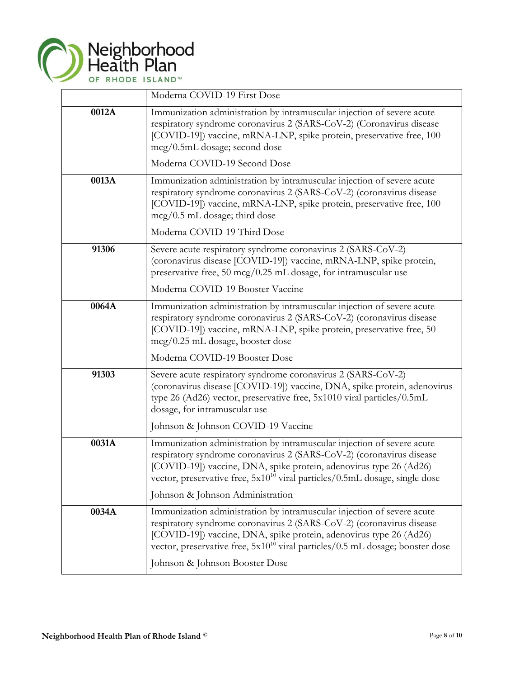

|       | Moderna COVID-19 First Dose                                                                                                                                                                                                                                                                                     |
|-------|-----------------------------------------------------------------------------------------------------------------------------------------------------------------------------------------------------------------------------------------------------------------------------------------------------------------|
| 0012A | Immunization administration by intramuscular injection of severe acute<br>respiratory syndrome coronavirus 2 (SARS-CoV-2) (Coronavirus disease<br>[COVID-19]) vaccine, mRNA-LNP, spike protein, preservative free, 100<br>$mcg/0.5mL$ dosage; second dose                                                       |
|       | Moderna COVID-19 Second Dose                                                                                                                                                                                                                                                                                    |
| 0013A | Immunization administration by intramuscular injection of severe acute<br>respiratory syndrome coronavirus 2 (SARS-CoV-2) (coronavirus disease<br>[COVID-19]) vaccine, mRNA-LNP, spike protein, preservative free, 100<br>$mcg/0.5$ mL dosage; third dose                                                       |
|       | Moderna COVID-19 Third Dose                                                                                                                                                                                                                                                                                     |
| 91306 | Severe acute respiratory syndrome coronavirus 2 (SARS-CoV-2)<br>(coronavirus disease [COVID-19]) vaccine, mRNA-LNP, spike protein,<br>preservative free, 50 mcg/0.25 mL dosage, for intramuscular use                                                                                                           |
|       | Moderna COVID-19 Booster Vaccine                                                                                                                                                                                                                                                                                |
| 0064A | Immunization administration by intramuscular injection of severe acute<br>respiratory syndrome coronavirus 2 (SARS-CoV-2) (coronavirus disease<br>[COVID-19]) vaccine, mRNA-LNP, spike protein, preservative free, 50<br>mcg/0.25 mL dosage, booster dose                                                       |
|       | Moderna COVID-19 Booster Dose                                                                                                                                                                                                                                                                                   |
| 91303 | Severe acute respiratory syndrome coronavirus 2 (SARS-CoV-2)<br>(coronavirus disease [COVID-19]) vaccine, DNA, spike protein, adenovirus<br>type 26 (Ad26) vector, preservative free, 5x1010 viral particles/0.5mL<br>dosage, for intramuscular use                                                             |
|       | Johnson & Johnson COVID-19 Vaccine                                                                                                                                                                                                                                                                              |
| 0031A | Immunization administration by intramuscular injection of severe acute<br>respiratory syndrome coronavirus 2 (SARS-CoV-2) (coronavirus disease<br>[COVID-19]) vaccine, DNA, spike protein, adenovirus type 26 (Ad26)<br>vector, preservative free, 5x10 <sup>10</sup> viral particles/0.5mL dosage, single dose |
|       | Johnson & Johnson Administration                                                                                                                                                                                                                                                                                |
| 0034A | Immunization administration by intramuscular injection of severe acute<br>respiratory syndrome coronavirus 2 (SARS-CoV-2) (coronavirus disease<br>[COVID-19]) vaccine, DNA, spike protein, adenovirus type 26 (Ad26)<br>vector, preservative free, $5x10^{10}$ viral particles/0.5 mL dosage; booster dose      |
|       | Johnson & Johnson Booster Dose                                                                                                                                                                                                                                                                                  |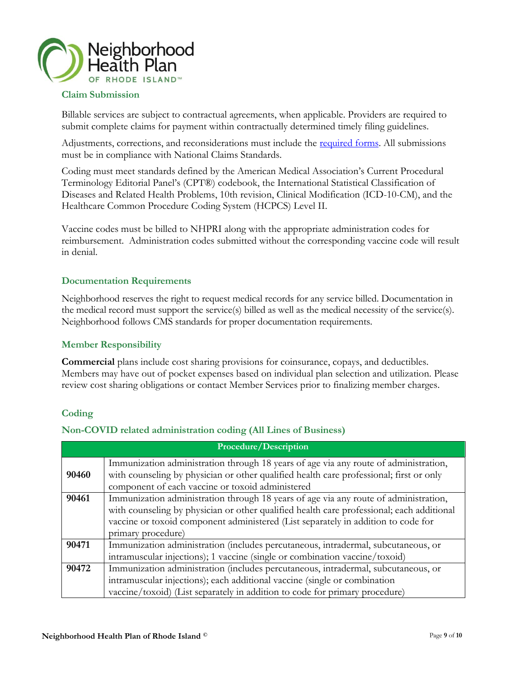

#### **Claim Submission**

Billable services are subject to contractual agreements, when applicable. Providers are required to submit complete claims for payment within contractually determined timely filing guidelines.

Adjustments, corrections, and reconsiderations must include the [required forms.](https://www.nhpri.org/providers/provider-resources/Forms/) All submissions must be in compliance with National Claims Standards.

Coding must meet standards defined by the American Medical Association's Current Procedural Terminology Editorial Panel's (CPT®) codebook, the International Statistical Classification of Diseases and Related Health Problems, 10th revision, Clinical Modification (ICD-10-CM), and the Healthcare Common Procedure Coding System (HCPCS) Level II.

Vaccine codes must be billed to NHPRI along with the appropriate administration codes for reimbursement. Administration codes submitted without the corresponding vaccine code will result in denial.

#### **Documentation Requirements**

Neighborhood reserves the right to request medical records for any service billed. Documentation in the medical record must support the service(s) billed as well as the medical necessity of the service(s). Neighborhood follows CMS standards for proper documentation requirements.

#### **Member Responsibility**

**Commercial** plans include cost sharing provisions for coinsurance, copays, and deductibles. Members may have out of pocket expenses based on individual plan selection and utilization. Please review cost sharing obligations or contact Member Services prior to finalizing member charges.

# **Coding**

#### **Non-COVID related administration coding (All Lines of Business)**

| <b>Procedure/Description</b> |                                                                                                                                                                                 |
|------------------------------|---------------------------------------------------------------------------------------------------------------------------------------------------------------------------------|
| 90460                        | Immunization administration through 18 years of age via any route of administration,<br>with counseling by physician or other qualified health care professional; first or only |
|                              | component of each vaccine or toxoid administered                                                                                                                                |
| 90461                        | Immunization administration through 18 years of age via any route of administration,                                                                                            |
|                              | with counseling by physician or other qualified health care professional; each additional                                                                                       |
|                              | vaccine or toxoid component administered (List separately in addition to code for                                                                                               |
|                              | primary procedure)                                                                                                                                                              |
| 90471                        | Immunization administration (includes percutaneous, intradermal, subcutaneous, or                                                                                               |
|                              | intramuscular injections); 1 vaccine (single or combination vaccine/toxoid)                                                                                                     |
| 90472                        | Immunization administration (includes percutaneous, intradermal, subcutaneous, or                                                                                               |
|                              | intramuscular injections); each additional vaccine (single or combination                                                                                                       |
|                              | vaccine/toxoid) (List separately in addition to code for primary procedure)                                                                                                     |